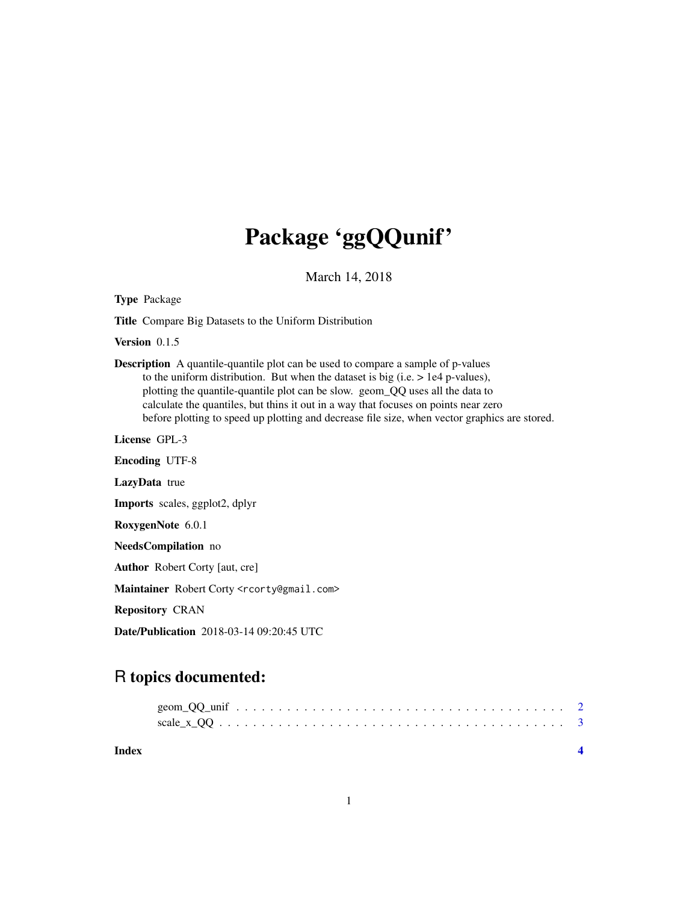## Package 'ggQQunif'

March 14, 2018

Type Package

Title Compare Big Datasets to the Uniform Distribution

Version 0.1.5

Description A quantile-quantile plot can be used to compare a sample of p-values to the uniform distribution. But when the dataset is big (i.e.  $> 1e4$  p-values), plotting the quantile-quantile plot can be slow. geom\_QQ uses all the data to calculate the quantiles, but thins it out in a way that focuses on points near zero before plotting to speed up plotting and decrease file size, when vector graphics are stored.

License GPL-3

Encoding UTF-8 LazyData true Imports scales, ggplot2, dplyr RoxygenNote 6.0.1 NeedsCompilation no Author Robert Corty [aut, cre] Maintainer Robert Corty <rcorty@gmail.com> Repository CRAN

Date/Publication 2018-03-14 09:20:45 UTC

### R topics documented:

| Index |  |  |  |  |  |  |  |  |  |  |  |  |  |  |  |
|-------|--|--|--|--|--|--|--|--|--|--|--|--|--|--|--|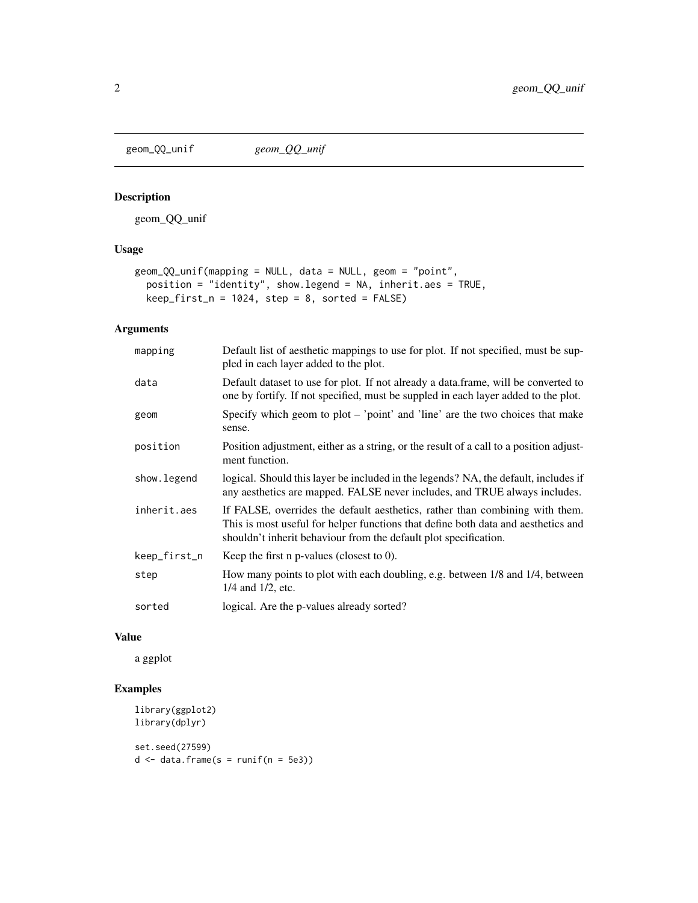<span id="page-1-0"></span>

#### Description

geom\_QQ\_unif

#### Usage

```
geom_QQ_unif(mapping = NULL, data = NULL, geom = "point",
 position = "identity", show.legend = NA, inherit.aes = TRUE,
 keep\_first_n = 1024, step = 8, sorted = FALSE)
```
#### Arguments

| mapping      | Default list of aesthetic mappings to use for plot. If not specified, must be sup-<br>pled in each layer added to the plot.                                                                                                           |
|--------------|---------------------------------------------------------------------------------------------------------------------------------------------------------------------------------------------------------------------------------------|
| data         | Default dataset to use for plot. If not already a data.frame, will be converted to<br>one by fortify. If not specified, must be suppled in each layer added to the plot.                                                              |
| geom         | Specify which geom to plot $-$ 'point' and 'line' are the two choices that make<br>sense.                                                                                                                                             |
| position     | Position adjustment, either as a string, or the result of a call to a position adjust-<br>ment function.                                                                                                                              |
| show. legend | logical. Should this layer be included in the legends? NA, the default, includes if<br>any aesthetics are mapped. FALSE never includes, and TRUE always includes.                                                                     |
| inherit.aes  | If FALSE, overrides the default aesthetics, rather than combining with them.<br>This is most useful for helper functions that define both data and aesthetics and<br>shouldn't inherit behaviour from the default plot specification. |
| keep_first_n | Keep the first $n$ p-values (closest to 0).                                                                                                                                                                                           |
| step         | How many points to plot with each doubling, e.g. between 1/8 and 1/4, between<br>$1/4$ and $1/2$ , etc.                                                                                                                               |
| sorted       | logical. Are the p-values already sorted?                                                                                                                                                                                             |

#### Value

a ggplot

#### Examples

```
library(ggplot2)
library(dplyr)
set.seed(27599)
d \leq - data.frame(s = runif(n = 5e3))
```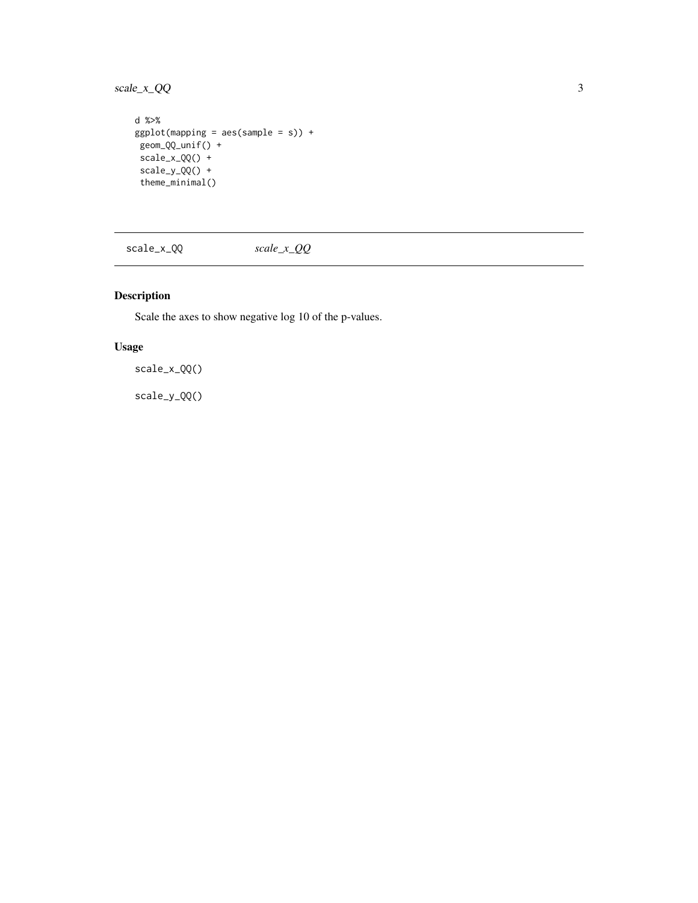<span id="page-2-0"></span>scale\_x\_QQ 3

```
d %>%
ggplot(mapping = aes(sample = s)) +geom_QQ_unif() +
scale_x_QQ() +
scale_y_Q() +theme_minimal()
```
scale\_x\_QQ *scale\_x\_QQ*

#### Description

Scale the axes to show negative log 10 of the p-values.

#### Usage

scale\_x\_QQ()

scale\_y\_QQ()